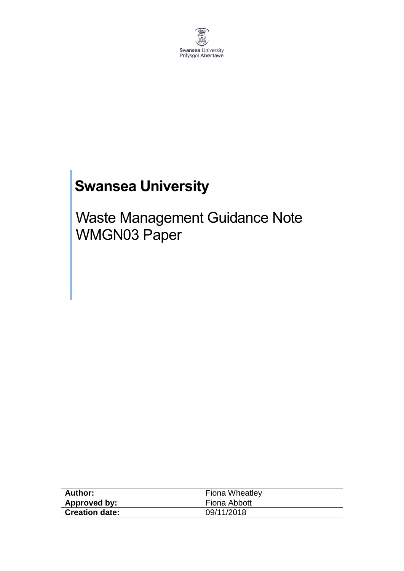

# **Swansea University**

Waste Management Guidance Note WMGN03 Paper

| Author:               | <b>Fiona Wheatley</b> |
|-----------------------|-----------------------|
| Approved by:          | Fiona Abbott          |
| <b>Creation date:</b> | 09/11/2018            |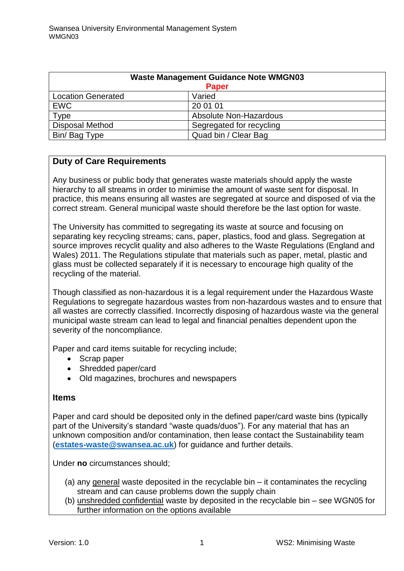| <b>Waste Management Guidance Note WMGN03</b> |                          |
|----------------------------------------------|--------------------------|
| <b>Paper</b>                                 |                          |
| <b>Location Generated</b>                    | Varied                   |
| <b>EWC</b>                                   | 20 01 01                 |
| Type                                         | Absolute Non-Hazardous   |
| <b>Disposal Method</b>                       | Segregated for recycling |
| Bin/Bag Type                                 | Quad bin / Clear Bag     |

## **Duty of Care Requirements**

Any business or public body that generates waste materials should apply the waste hierarchy to all streams in order to minimise the amount of waste sent for disposal. In practice, this means ensuring all wastes are segregated at source and disposed of via the correct stream. General municipal waste should therefore be the last option for waste.

The University has committed to segregating its waste at source and focusing on separating key recycling streams; cans, paper, plastics, food and glass. Segregation at source improves recyclit quality and also adheres to the Waste Regulations (England and Wales) 2011. The Regulations stipulate that materials such as paper, metal, plastic and glass must be collected separately if it is necessary to encourage high quality of the recycling of the material.

Though classified as non-hazardous it is a legal requirement under the Hazardous Waste Regulations to segregate hazardous wastes from non-hazardous wastes and to ensure that all wastes are correctly classified. Incorrectly disposing of hazardous waste via the general municipal waste stream can lead to legal and financial penalties dependent upon the severity of the noncompliance.

Paper and card items suitable for recycling include;

- Scrap paper
- Shredded paper/card
- Old magazines, brochures and newspapers

#### **Items**

Paper and card should be deposited only in the defined paper/card waste bins (typically part of the University's standard "waste quads/duos"). For any material that has an unknown composition and/or contamination, then lease contact the Sustainability team (**[estates-waste@swansea.ac.uk](mailto:estates-waste@swansea.ac.uk)**) for guidance and further details.

Under **no** circumstances should;

- (a) any general waste deposited in the recyclable bin it contaminates the recycling stream and can cause problems down the supply chain
- (b) unshredded confidential waste by deposited in the recyclable bin see WGN05 for further information on the options available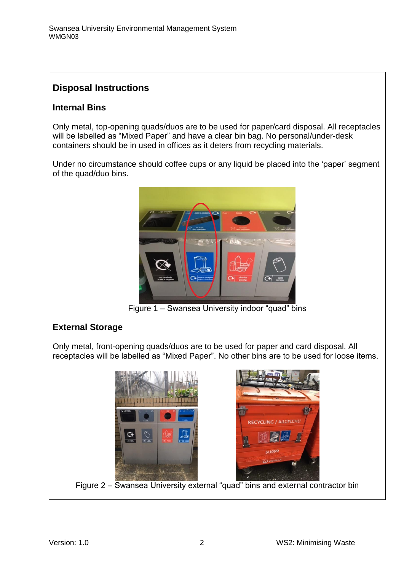# **Disposal Instructions**

#### **Internal Bins**

Only metal, top-opening quads/duos are to be used for paper/card disposal. All receptacles will be labelled as "Mixed Paper" and have a clear bin bag. No personal/under-desk containers should be in used in offices as it deters from recycling materials.

Under no circumstance should coffee cups or any liquid be placed into the 'paper' segment of the quad/duo bins.



Figure 1 – Swansea University indoor "quad" bins

## **External Storage**

Only metal, front-opening quads/duos are to be used for paper and card disposal. All receptacles will be labelled as "Mixed Paper". No other bins are to be used for loose items.



Figure 2 – Swansea University external "quad" bins and external contractor bin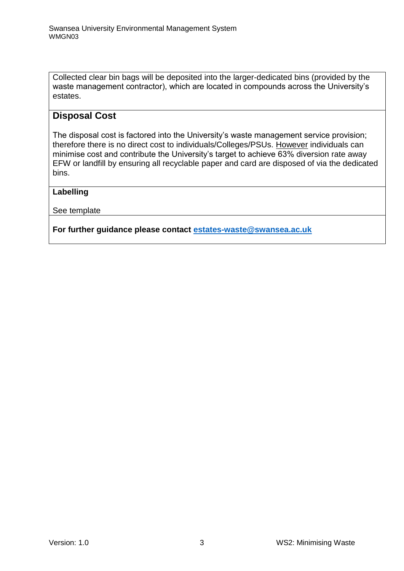Collected clear bin bags will be deposited into the larger-dedicated bins (provided by the waste management contractor), which are located in compounds across the University's estates.

### **Disposal Cost**

The disposal cost is factored into the University's waste management service provision; therefore there is no direct cost to individuals/Colleges/PSUs. However individuals can minimise cost and contribute the University's target to achieve 63% diversion rate away EFW or landfill by ensuring all recyclable paper and card are disposed of via the dedicated bins.

#### **Labelling**

See template

**For further guidance please contact [estates-waste@swansea.ac.uk](mailto:estates-waste@swansea.ac.uk)**